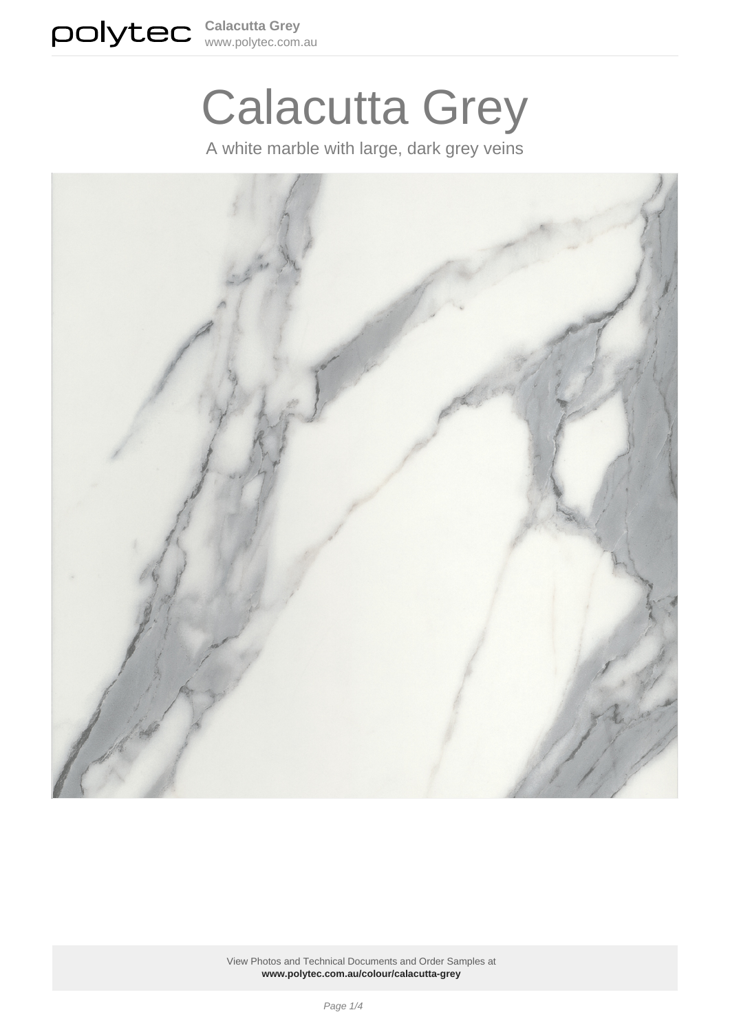

# Calacutta Grey

A white marble with large, dark grey veins

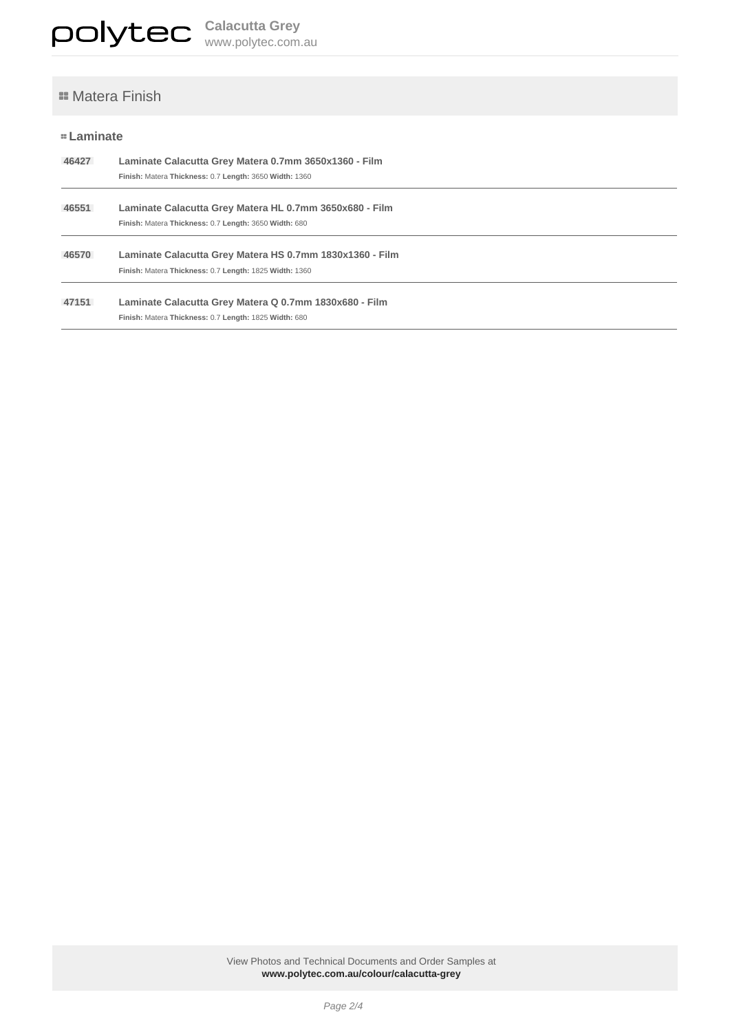# **=** Matera Finish

## **Laminate**

| 46427 | Laminate Calacutta Grey Matera 0.7mm 3650x1360 - Film<br>Finish: Matera Thickness: 0.7 Length: 3650 Width: 1360    |
|-------|--------------------------------------------------------------------------------------------------------------------|
| 46551 | Laminate Calacutta Grey Matera HL 0.7mm 3650x680 - Film<br>Finish: Matera Thickness: 0.7 Length: 3650 Width: 680   |
| 46570 | Laminate Calacutta Grey Matera HS 0.7mm 1830x1360 - Film<br>Finish: Matera Thickness: 0.7 Length: 1825 Width: 1360 |
| 47151 | Laminate Calacutta Grey Matera Q 0.7mm 1830x680 - Film<br>Finish: Matera Thickness: 0.7 Length: 1825 Width: 680    |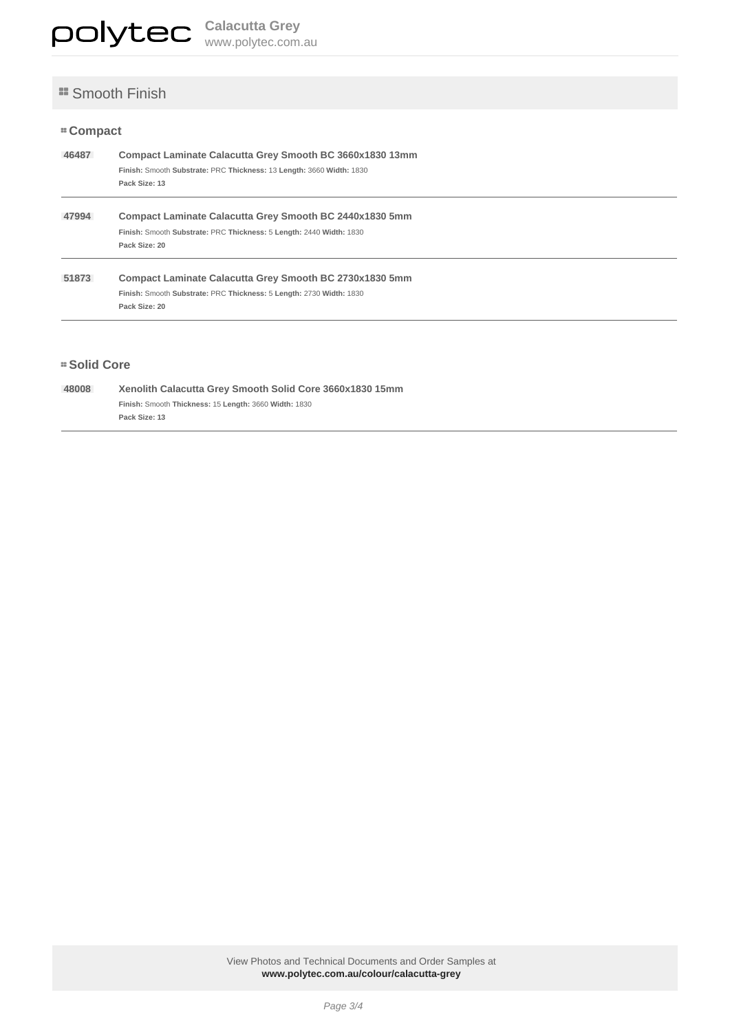# **Smooth Finish**

#### **Compact**

| 46487 | Compact Laminate Calacutta Grey Smooth BC 3660x1830 13mm<br>Finish: Smooth Substrate: PRC Thickness: 13 Length: 3660 Width: 1830<br>Pack Size: 13 |
|-------|---------------------------------------------------------------------------------------------------------------------------------------------------|
| 47994 | Compact Laminate Calacutta Grey Smooth BC 2440x1830 5mm<br>Finish: Smooth Substrate: PRC Thickness: 5 Length: 2440 Width: 1830<br>Pack Size: 20   |
| 51873 | Compact Laminate Calacutta Grey Smooth BC 2730x1830 5mm<br>Finish: Smooth Substrate: PRC Thickness: 5 Length: 2730 Width: 1830<br>Pack Size: 20   |

#### **Solid Core**

| 48008 | Xenolith Calacutta Grey Smooth Solid Core 3660x1830 15mm |
|-------|----------------------------------------------------------|
|       | Finish: Smooth Thickness: 15 Length: 3660 Width: 1830    |
|       | Pack Size: 13                                            |